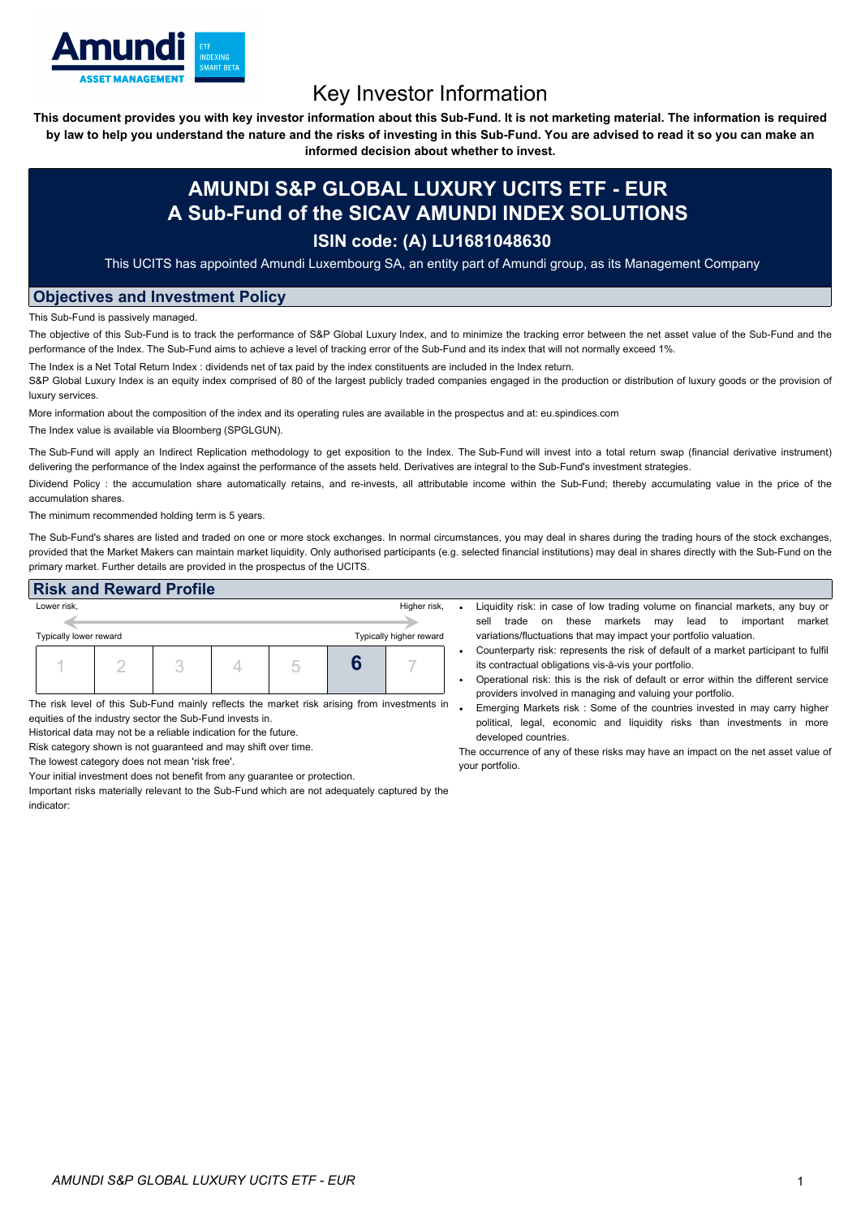

# Key Investor Information

This document provides you with key investor information about this Sub-Fund. It is not marketing material. The information is required by law to help you understand the nature and the risks of investing in this Sub-Fund. You are advised to read it so you can make an

**informed decision about whether to invest.**

## **AMUNDI S&P GLOBAL LUXURY UCITS ETF - EUR A Sub-Fund of the SICAV AMUNDI INDEX SOLUTIONS**

### **ISIN code: (A) LU1681048630**

This UCITS has appointed Amundi Luxembourg SA, an entity part of Amundi group, as its Management Company

#### **Objectives and Investment Policy**

This Sub-Fund is passively managed.

The objective of this Sub-Fund is to track the performance of S&P Global Luxury Index, and to minimize the tracking error between the net asset value of the Sub-Fund and the performance of the Index. The Sub-Fund aims to achieve a level of tracking error of the Sub-Fund and its index that will not normally exceed 1%.

The Index is a Net Total Return Index : dividends net of tax paid by the index constituents are included in the Index return. S&P Global Luxury Index is an equity index comprised of 80 of the largest publicly traded companies engaged in the production or distribution of luxury goods or the provision of luxury services.

More information about the composition of the index and its operating rules are available in the prospectus and at: eu.spindices.com The Index value is available via Bloomberg (SPGLGUN).

The Sub-Fund will apply an Indirect Replication methodology to get exposition to the Index. The Sub-Fund will invest into a total return swap (financial derivative instrument) delivering the performance of the Index against the performance of the assets held. Derivatives are integral to the Sub-Fund's investment strategies.

Dividend Policy : the accumulation share automatically retains, and re-invests, all attributable income within the Sub-Fund; thereby accumulating value in the price of the accumulation shares.

The minimum recommended holding term is 5 years.

The Sub-Fund's shares are listed and traded on one or more stock exchanges. In normal circumstances, you may deal in shares during the trading hours of the stock exchanges, provided that the Market Makers can maintain market liquidity. Only authorised participants (e.g. selected financial institutions) may deal in shares directly with the Sub-Fund on the primary market. Further details are provided in the prospectus of the UCITS.

#### **Risk and Reward Profile**



The risk level of this Sub-Fund mainly reflects the market risk arising from investments in equities of the industry sector the Sub-Fund invests in.

Historical data may not be a reliable indication for the future.

Risk category shown is not guaranteed and may shift over time.

The lowest category does not mean 'risk free'.

Your initial investment does not benefit from any guarantee or protection.

Important risks materially relevant to the Sub-Fund which are not adequately captured by the indicator:

- Liquidity risk: in case of low trading volume on financial markets, any buy or sell trade on these markets may lead to important market variations/fluctuations that may impact your portfolio valuation.
- Counterparty risk: represents the risk of default of a market participant to fulfil its contractual obligations vis-à-vis your portfolio.
- Operational risk: this is the risk of default or error within the different service providers involved in managing and valuing your portfolio.
- Emerging Markets risk : Some of the countries invested in may carry higher political, legal, economic and liquidity risks than investments in more developed countries.

The occurrence of any of these risks may have an impact on the net asset value of your portfolio.